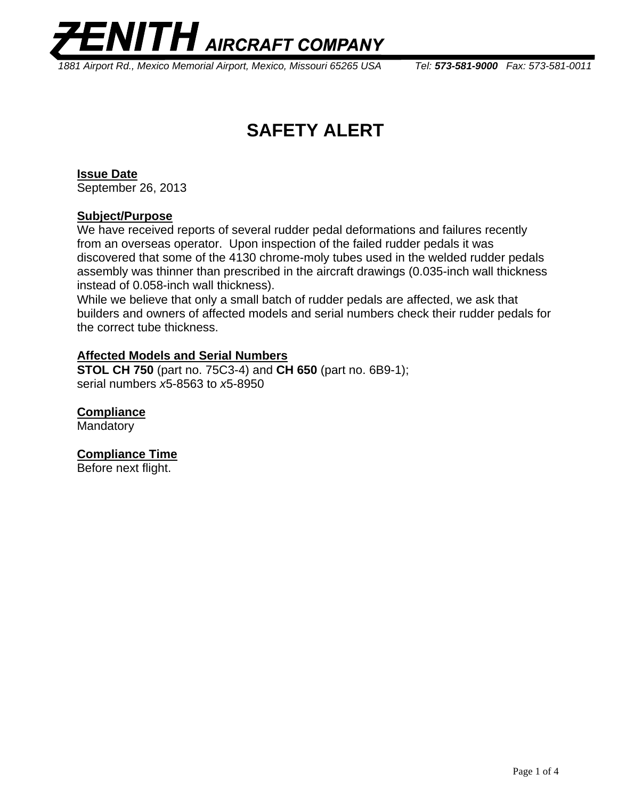

 *1881 Airport Rd., Mexico Memorial Airport, Mexico, Missouri 65265 USA Tel: 573-581-9000 Fax: 573-581-0011* 

# **SAFETY ALERT**

## **Issue Date**

September 26, 2013

### **Subject/Purpose**

We have received reports of several rudder pedal deformations and failures recently from an overseas operator. Upon inspection of the failed rudder pedals it was discovered that some of the 4130 chrome-moly tubes used in the welded rudder pedals assembly was thinner than prescribed in the aircraft drawings (0.035-inch wall thickness instead of 0.058-inch wall thickness).

While we believe that only a small batch of rudder pedals are affected, we ask that builders and owners of affected models and serial numbers check their rudder pedals for the correct tube thickness.

### **Affected Models and Serial Numbers**

**STOL CH 750** (part no. 75C3-4) and **CH 650** (part no. 6B9-1); serial numbers *x*5-8563 to *x*5-8950

# **Compliance**

Mandatory

## **Compliance Time**

Before next flight.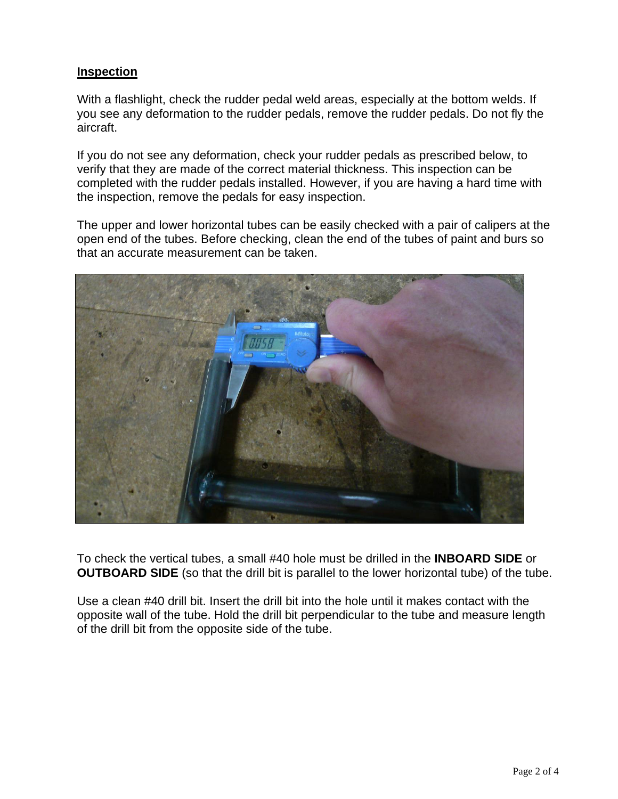## **Inspection**

With a flashlight, check the rudder pedal weld areas, especially at the bottom welds. If you see any deformation to the rudder pedals, remove the rudder pedals. Do not fly the aircraft.

If you do not see any deformation, check your rudder pedals as prescribed below, to verify that they are made of the correct material thickness. This inspection can be completed with the rudder pedals installed. However, if you are having a hard time with the inspection, remove the pedals for easy inspection.

The upper and lower horizontal tubes can be easily checked with a pair of calipers at the open end of the tubes. Before checking, clean the end of the tubes of paint and burs so that an accurate measurement can be taken.



To check the vertical tubes, a small #40 hole must be drilled in the **INBOARD SIDE** or **OUTBOARD SIDE** (so that the drill bit is parallel to the lower horizontal tube) of the tube.

Use a clean #40 drill bit. Insert the drill bit into the hole until it makes contact with the opposite wall of the tube. Hold the drill bit perpendicular to the tube and measure length of the drill bit from the opposite side of the tube.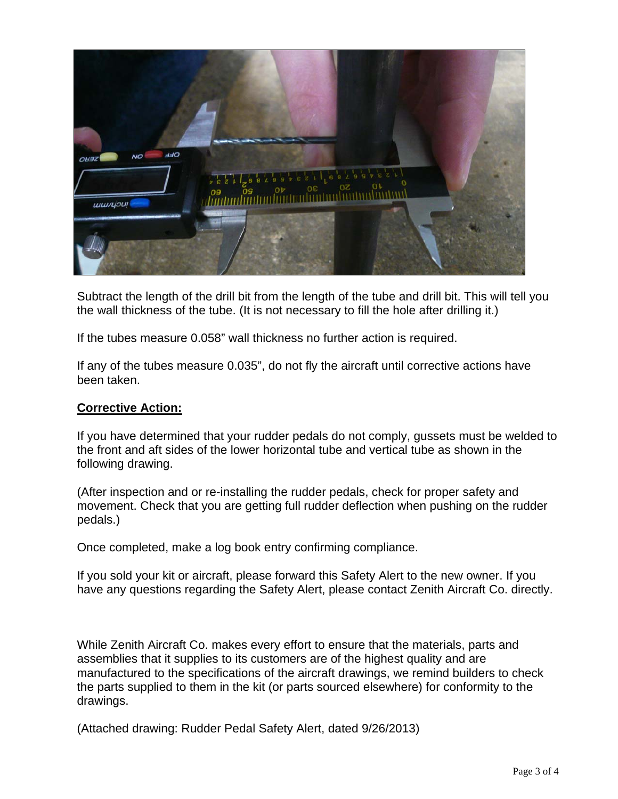

Subtract the length of the drill bit from the length of the tube and drill bit. This will tell you the wall thickness of the tube. (It is not necessary to fill the hole after drilling it.)

If the tubes measure 0.058" wall thickness no further action is required.

If any of the tubes measure 0.035", do not fly the aircraft until corrective actions have been taken.

## **Corrective Action:**

If you have determined that your rudder pedals do not comply, gussets must be welded to the front and aft sides of the lower horizontal tube and vertical tube as shown in the following drawing.

(After inspection and or re-installing the rudder pedals, check for proper safety and movement. Check that you are getting full rudder deflection when pushing on the rudder pedals.)

Once completed, make a log book entry confirming compliance.

If you sold your kit or aircraft, please forward this Safety Alert to the new owner. If you have any questions regarding the Safety Alert, please contact Zenith Aircraft Co. directly.

While Zenith Aircraft Co. makes every effort to ensure that the materials, parts and assemblies that it supplies to its customers are of the highest quality and are manufactured to the specifications of the aircraft drawings, we remind builders to check the parts supplied to them in the kit (or parts sourced elsewhere) for conformity to the drawings.

(Attached drawing: Rudder Pedal Safety Alert, dated 9/26/2013)